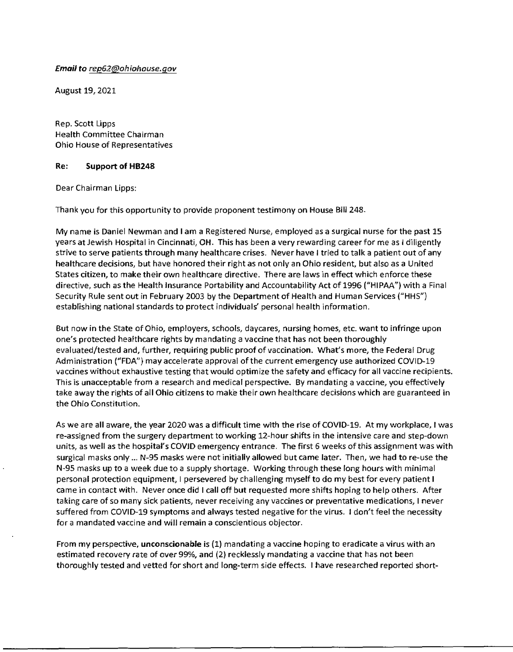## *Email to rep62@ohiohouse.gov*

August 19, 2021

Rep. Scott Lipps Health Committee Chairman Ohio House of Representatives

## Re: Support of HB248

Dear Chairman Lipps:

Thank you for this opportunity to provide proponent testimony on House Bill 248.

My name is Daniel Newman and I am a Registered Nurse, employed as a surgical nurse for the past 15 years at Jewish Hospital in Cincinnati, OH. This has been a very rewarding career for me as I diligently strive to serve patients through many healthcare crises. Never have I tried to talk a patient out of any healthcare decisions, but have honored their right as not only an Ohio resident, but also as a United States citizen, to make their own healthcare directive. There are laws jn effect which enforce these directive, such as the Health Insurance Portability and Accountability Act of 1996 ("HIPAA") with a Final Security Rule sent out in February 2003 by the Department of Health and Human Services ("HHS") establishing national standards to protect individuals' personal health information.

But now in the State of Ohio, employers, schools, daycares, nursing homes, etc. want to infringe upon one's protected heafthcare rights by mandating a vaccine that has not been thoroughly evaluated/tested and, further, requiring public proof of vaccination. What's more, the Federal Drug Administration ("FDA"} may accelerate approval of the current emergency use authorized COVID-19 vaccines without exhaustive testing that would optimize the safety and efficacy for all vaccine recipients. This is unacceptable from a research and medical perspective. By mandating a vaccine, you effectively take away the rights of all Ohio citizens to make their own healthcare decisions which are guaranteed in the Ohio Constitution.

As we are all aware, the year 2020 was a difficult time with the rise of COVID-19. At my workplace, I was re-assigned from the surgery department to working 12-hour shifts in the intensive care and step-down units, as well as the hospital's COVlD emergency entrance. The first 6 weeks of this assignment was with surgical masks only ... N-95 masks were not initially allowed but came later. Then, we had to re-use the N-95 masks up to a week due to a supply shortage. Working through these long hours with minimal personal protection equipment, I persevered by challenging myself to do my best for every patient I came in contact with. Never once did I call off but requested more shifts hoping to help others. After taking care of so many sick patients, never receiving any vaccines or preventative medications, I never suffered from COVID-19 symptoms and always tested negative for the virus. I don't feel the necessity for a mandated vaccine and will remain a conscientious objector.

From my perspective, unconscionable is (1) mandating a vaccine hoping to eradicate a virus with an estimated recovery rate of over 99%, and (2) recklessly mandating a vaccine that has not been thoroughly tested and vetted for short and long-term side effects. I have researched reported short